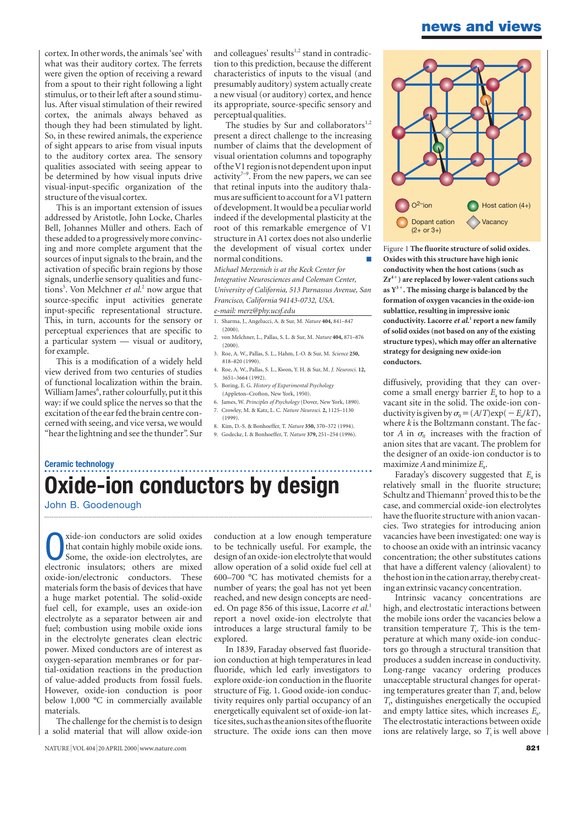## **news and views**

cortex. In other words, the animals 'see' with what was their auditory cortex. The ferrets were given the option of receiving a reward from a spout to their right following a light stimulus, or to their left after a sound stimulus. After visual stimulation of their rewired cortex, the animals always behaved as though they had been stimulated by light. So, in these rewired animals, the experience of sight appears to arise from visual inputs to the auditory cortex area. The sensory qualities associated with seeing appear to be determined by how visual inputs drive visual-input-specific organization of the structure of the visual cortex.

This is an important extension of issues addressed by Aristotle, John Locke, Charles Bell, Johannes Müller and others. Each of these added to a progressively more convincing and more complete argument that the sources of input signals to the brain, and the activation of specific brain regions by those signals, underlie sensory qualities and functions<sup>5</sup>. Von Melchner *et al*.<sup>2</sup> now argue that source-specific input activities generate input-specific representational structure. This, in turn, accounts for the sensory or perceptual experiences that are specific to a particular system — visual or auditory, for example.

This is a modification of a widely held view derived from two centuries of studies of functional localization within the brain. William James<sup>6</sup>, rather colourfully, put it this way: if we could splice the nerves so that the excitation of the ear fed the brain centre concerned with seeing, and vice versa, we would "hear the lightning and see the thunder". Sur

and colleagues' results<sup>1,2</sup> stand in contradiction to this prediction, because the different characteristics of inputs to the visual (and presumably auditory) system actually create a new visual (or auditory) cortex, and hence its appropriate, source-specific sensory and perceptual qualities.

The studies by Sur and collaborators $1,2$ present a direct challenge to the increasing number of claims that the development of visual orientation columns and topography of the V1 region is not dependent upon input activity<sup> $7-9$ </sup>. From the new papers, we can see that retinal inputs into the auditory thalamus are sufficient to account for a V1 pattern of development. It would be a peculiar world indeed if the developmental plasticity at the root of this remarkable emergence of V1 structure in A1 cortex does not also underlie the development of visual cortex under normal conditions.

*Michael Merzenich is at the Keck Center for Integrative Neurosciences and Coleman Center, University of California, 513 Parnassus Avenue, San Francisco, California 94143-0732, USA. e-mail: merz@phy.ucsf.edu*

- 
- 1. Sharma, J., Angelucci, A. & Sur, M. *Nature* **404,** 841–847  $(2000)$
- 2. von Melchner, L., Pallas, S. L. & Sur, M. *Nature* **404,** 871–876  $(2000)$
- 3. Roe, A. W., Pallas, S. L., Hahm, J.-O. & Sur, M. *Science* **250,** 818–820 (1990).
- 4. Roe, A. W., Pallas, S. L., Kwon, Y. H. & Sur, M. *J. Neurosci.* **12,** 3651–3664 (1992).
- 5. Boring, E. G. *History of Experimental Psychology* (Appleton–Crofton, New York, 1950).
- 6. James, W. *Principles of Psychology* (Dover, New York, 1890). 7. Crowley, M. & Katz, L. C. *Nature Neurosci.* **2,** 1125–1130 (1999).
- 8. Kim, D.-S. & Bonhoeffer, T. *Nature* **350,** 370–372 (1994).
- 9. Godecke, I. & Bonhoeffer, T. *Nature* **379,** 251–254 (1996).

## **Oxide-ion conductors by design**

John B. Goodenough

**Ceramic technology**

vide-ion conductors are solid oxides<br>that contain highly mobile oxide ions.<br>Some, the oxide-ion electrolytes, are<br>electronic insulatory others are mived that contain highly mobile oxide ions. Some, the oxide-ion electrolytes, are electronic insulators; others are mixed<br>oxide-ion/electronic conductors. These oxide-ion/electronic conductors. materials form the basis of devices that have a huge market potential. The solid-oxide fuel cell, for example, uses an oxide-ion electrolyte as a separator between air and fuel; combustion using mobile oxide ions in the electrolyte generates clean electric power. Mixed conductors are of interest as oxygen-separation membranes or for partial-oxidation reactions in the production of value-added products from fossil fuels. However, oxide-ion conduction is poor below 1,000 °C in commercially available materials.

The challenge for the chemist is to design a solid material that will allow oxide-ion conduction at a low enough temperature to be technically useful. For example, the design of an oxide-ion electrolyte that would allow operation of a solid oxide fuel cell at 600–700 °C has motivated chemists for a number of years; the goal has not yet been reached, and new design concepts are needed. On page 856 of this issue, Lacorre *et al*. 1 report a novel oxide-ion electrolyte that introduces a large structural family to be explored.

In 1839, Faraday observed fast fluorideion conduction at high temperatures in lead fluoride, which led early investigators to explore oxide-ion conduction in the fluorite structure of Fig. 1. Good oxide-ion conductivity requires only partial occupancy of an energetically equivalent set of oxide-ion lattice sites, such as the anion sites of the fluorite structure. The oxide ions can then move



Figure 1 **The fluorite structure of solid oxides. Oxides with this structure have high ionic conductivity when the host cations (such as Zr4) are replaced by lower-valent cations such as Y<sup>3</sup>. The missing charge is balanced by the formation of oxygen vacancies in the oxide-ion sublattice, resulting in impressive ionic conductivity. Lacorre** *et al***. <sup>1</sup> report a new family of solid oxides (not based on any of the existing structure types), which may offer an alternative strategy for designing new oxide-ion conductors.**

diffusively, providing that they can overcome a small energy barrier *E*<sub>a</sub> to hop to a vacant site in the solid. The oxide-ion conductivity is given by  $\sigma_0 = (A/T) \exp(-E_a/kT)$ , where *k* is the Boltzmann constant. The factor *A* in  $\sigma_0$  increases with the fraction of anion sites that are vacant. The problem for the designer of an oxide-ion conductor is to maximize  $A$  and minimize  $E_a$ .

Faraday's discovery suggested that *E*<sub>a</sub> is relatively small in the fluorite structure; Schultz and Thiemann<sup>2</sup> proved this to be the case, and commercial oxide-ion electrolytes have the fluorite structure with anion vacancies. Two strategies for introducing anion vacancies have been investigated: one way is to choose an oxide with an intrinsic vacancy concentration; the other substitutes cations that have a different valency (aliovalent) to the host ion in the cation array, thereby creating an extrinsic vacancy concentration.

Intrinsic vacancy concentrations are high, and electrostatic interactions between the mobile ions order the vacancies below a transition temperature  $T_t$ . This is the temperature at which many oxide-ion conductors go through a structural transition that produces a sudden increase in conductivity. Long-range vacancy ordering produces unacceptable structural changes for operating temperatures greater than  $T_t$  and, below  $T<sub>t</sub>$ , distinguishes energetically the occupied and empty lattice sites, which increases *E*a. The electrostatic interactions between oxide ions are relatively large, so  $T<sub>t</sub>$  is well above